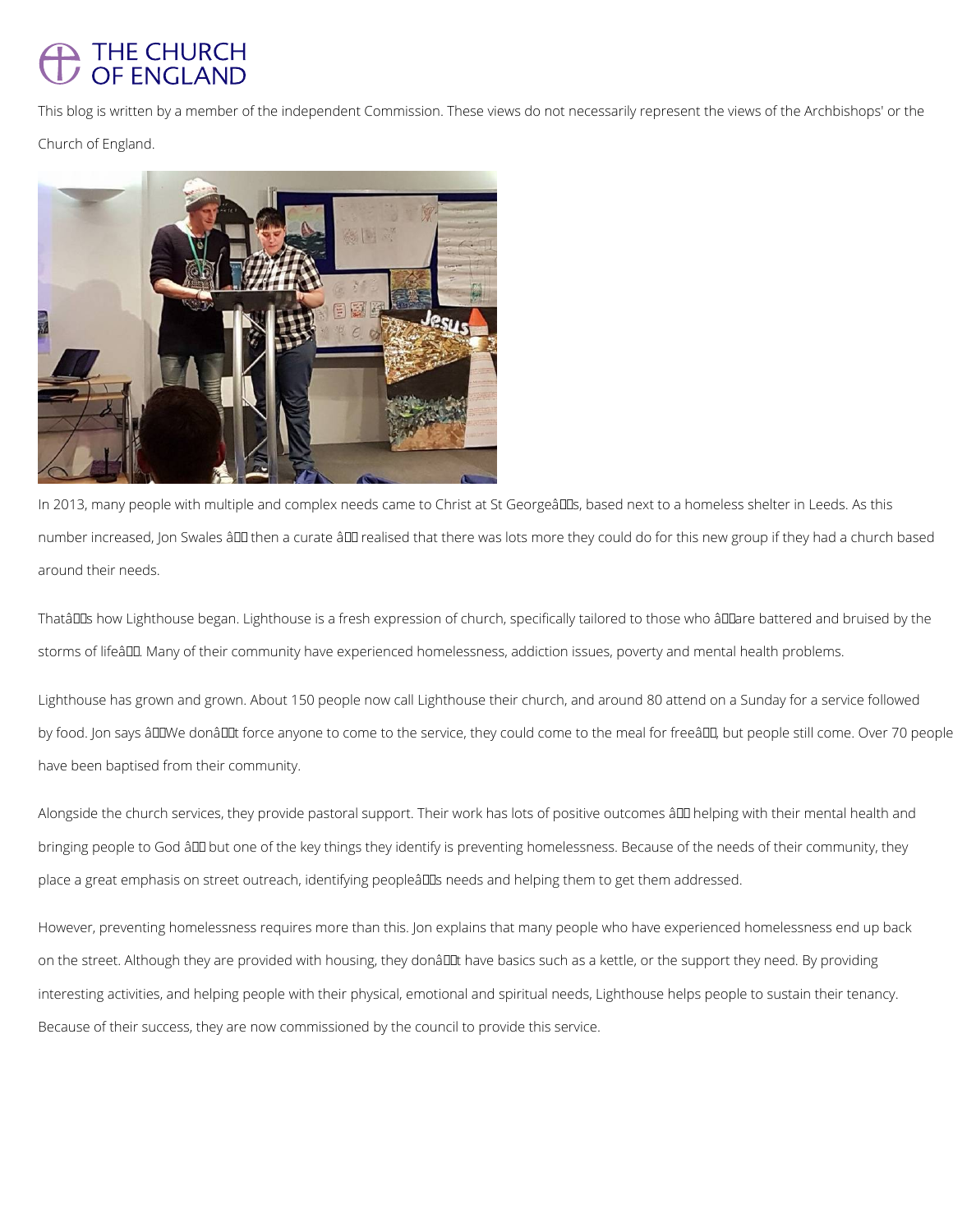## THE CHURCH **OF ENGLAND**

This blog is written by a member of the independent Commission. These views do not necessarily represent the views of the Archbishops' or the

Church of England.



In 2013, many people with multiple and complex needs came to Christ at St Georgeâll Ds, based next to a homeless shelter in Leeds. As this number increased, Jon Swales ând then a curate ând realised that there was lots more they could do for this new group if they had a church based around their needs.

ThatâDDs how Lighthouse began. Lighthouse is a fresh expression of church, specifically tailored to those who âDDare battered and bruised by the storms of lifeâ. Many of their community have experienced homelessness, addiction issues, poverty and mental health problems.

Lighthouse has grown and grown. About 150 people now call Lighthouse their church, and around 80 attend on a Sunday for a service followed by food. Jon says âULIWe donâULIt force anyone to come to the service, they could come to the meal for freeâLLI, but people still come. Over 70 people have been baptised from their community.

Alongside the church services, they provide pastoral support. Their work has lots of positive outcomes â ll helping with their mental health and bringing people to God ând but one of the key things they identify is preventing homelessness. Because of the needs of their community, they place a great emphasis on street outreach, identifying peopleâlDs needs and helping them to get them addressed.

However, preventing homelessness requires more than this. Jon explains that many people who have experienced homelessness end up back

on the street. Although they are provided with housing, they donâl L have basics such as a kettle, or the support they need. By providing

interesting activities, and helping people with their physical, emotional and spiritual needs, Lighthouse helps people to sustain their tenancy.

Because of their success, they are now commissioned by the council to provide this service.